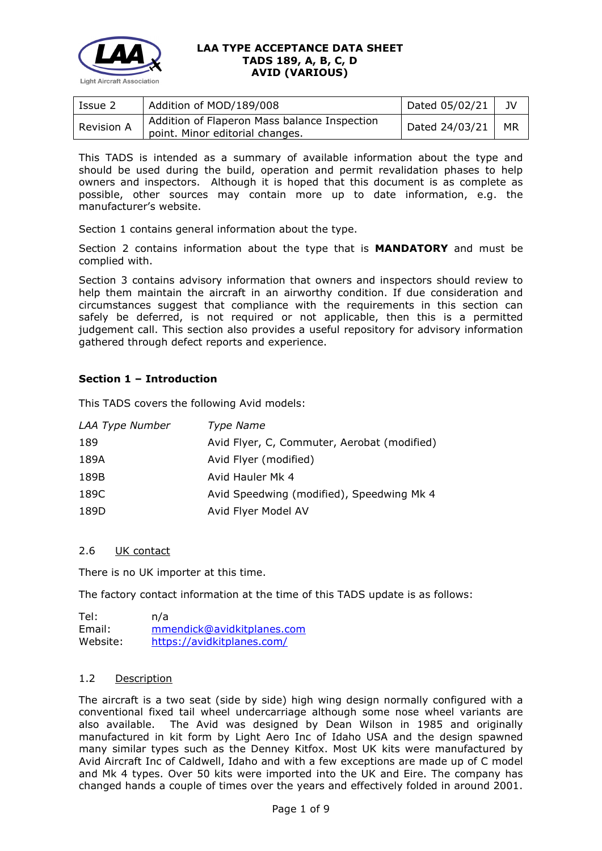

| Issue 2    | Addition of MOD/189/008                                                         | Dated 05/02/21 | JV        |
|------------|---------------------------------------------------------------------------------|----------------|-----------|
| Revision A | Addition of Flaperon Mass balance Inspection<br>point. Minor editorial changes. | Dated 24/03/21 | <b>MR</b> |

This TADS is intended as a summary of available information about the type and should be used during the build, operation and permit revalidation phases to help owners and inspectors. Although it is hoped that this document is as complete as possible, other sources may contain more up to date information, e.g. the manufacturer's website.

Section 1 contains general information about the type.

Section 2 contains information about the type that is **MANDATORY** and must be complied with.

Section 3 contains advisory information that owners and inspectors should review to help them maintain the aircraft in an airworthy condition. If due consideration and circumstances suggest that compliance with the requirements in this section can safely be deferred, is not required or not applicable, then this is a permitted judgement call. This section also provides a useful repository for advisory information gathered through defect reports and experience.

# **Section 1 – Introduction**

This TADS covers the following Avid models:

| LAA Type Number | Type Name                                   |
|-----------------|---------------------------------------------|
| 189             | Avid Flyer, C, Commuter, Aerobat (modified) |
| 189A            | Avid Flyer (modified)                       |
| 189B            | Avid Hauler Mk 4                            |
| 189C            | Avid Speedwing (modified), Speedwing Mk 4   |
| 189D            | Avid Flyer Model AV                         |

# 2.6 UK contact

There is no UK importer at this time.

The factory contact information at the time of this TADS update is as follows:

Tel: n/a Email: [mmendick@avidkitplanes.com](mailto:mmendick@avidkitplanes.com) Website: <https://avidkitplanes.com/>

### 1.2 Description

The aircraft is a two seat (side by side) high wing design normally configured with a conventional fixed tail wheel undercarriage although some nose wheel variants are also available. The Avid was designed by Dean Wilson in 1985 and originally manufactured in kit form by Light Aero Inc of Idaho USA and the design spawned many similar types such as the Denney Kitfox. Most UK kits were manufactured by Avid Aircraft Inc of Caldwell, Idaho and with a few exceptions are made up of C model and Mk 4 types. Over 50 kits were imported into the UK and Eire. The company has changed hands a couple of times over the years and effectively folded in around 2001.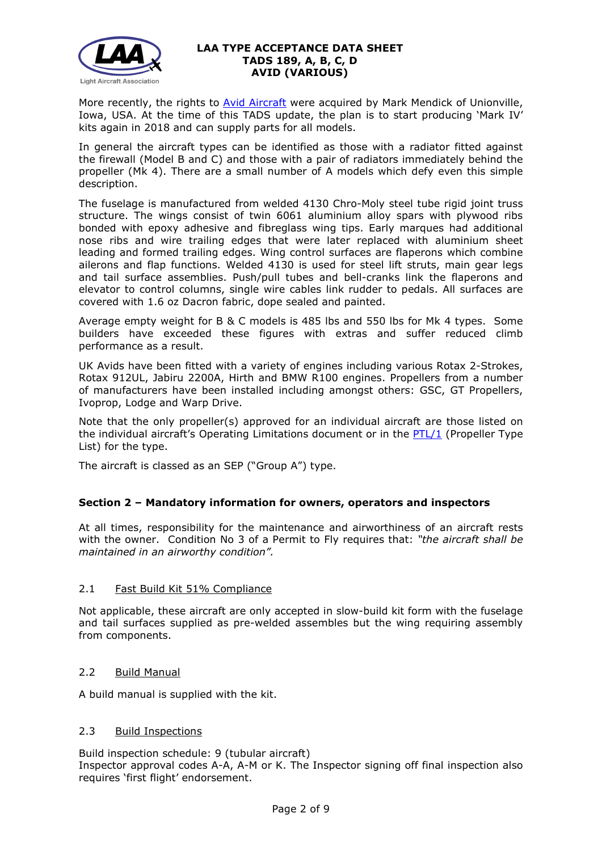

More recently, the rights to **Avid Aircraft** were acquired by Mark Mendick of Unionville, Iowa, USA. At the time of this TADS update, the plan is to start producing 'Mark IV' kits again in 2018 and can supply parts for all models.

In general the aircraft types can be identified as those with a radiator fitted against the firewall (Model B and C) and those with a pair of radiators immediately behind the propeller (Mk 4). There are a small number of A models which defy even this simple description.

The fuselage is manufactured from welded 4130 Chro-Moly steel tube rigid joint truss structure. The wings consist of twin 6061 aluminium alloy spars with plywood ribs bonded with epoxy adhesive and fibreglass wing tips. Early marques had additional nose ribs and wire trailing edges that were later replaced with aluminium sheet leading and formed trailing edges. Wing control surfaces are flaperons which combine ailerons and flap functions. Welded 4130 is used for steel lift struts, main gear legs and tail surface assemblies. Push/pull tubes and bell-cranks link the flaperons and elevator to control columns, single wire cables link rudder to pedals. All surfaces are covered with 1.6 oz Dacron fabric, dope sealed and painted.

Average empty weight for B & C models is 485 lbs and 550 lbs for Mk 4 types. Some builders have exceeded these figures with extras and suffer reduced climb performance as a result.

UK Avids have been fitted with a variety of engines including various Rotax 2-Strokes, Rotax 912UL, Jabiru 2200A, Hirth and BMW R100 engines. Propellers from a number of manufacturers have been installed including amongst others: GSC, GT Propellers, Ivoprop, Lodge and Warp Drive.

Note that the only propeller(s) approved for an individual aircraft are those listed on the individual aircraft's Operating Limitations document or in the [PTL/1](http://www.lightaircraftassociation.co.uk/engineering/NewMods/PTL.html) (Propeller Type List) for the type.

The aircraft is classed as an SEP ("Group A") type.

# **Section 2 – Mandatory information for owners, operators and inspectors**

At all times, responsibility for the maintenance and airworthiness of an aircraft rests with the owner. Condition No 3 of a Permit to Fly requires that: *"the aircraft shall be maintained in an airworthy condition".* 

# 2.1 Fast Build Kit 51% Compliance

Not applicable, these aircraft are only accepted in slow-build kit form with the fuselage and tail surfaces supplied as pre-welded assembles but the wing requiring assembly from components.

### 2.2 Build Manual

A build manual is supplied with the kit.

### 2.3 Build Inspections

Build inspection schedule: 9 (tubular aircraft) Inspector approval codes A-A, A-M or K. The Inspector signing off final inspection also requires 'first flight' endorsement.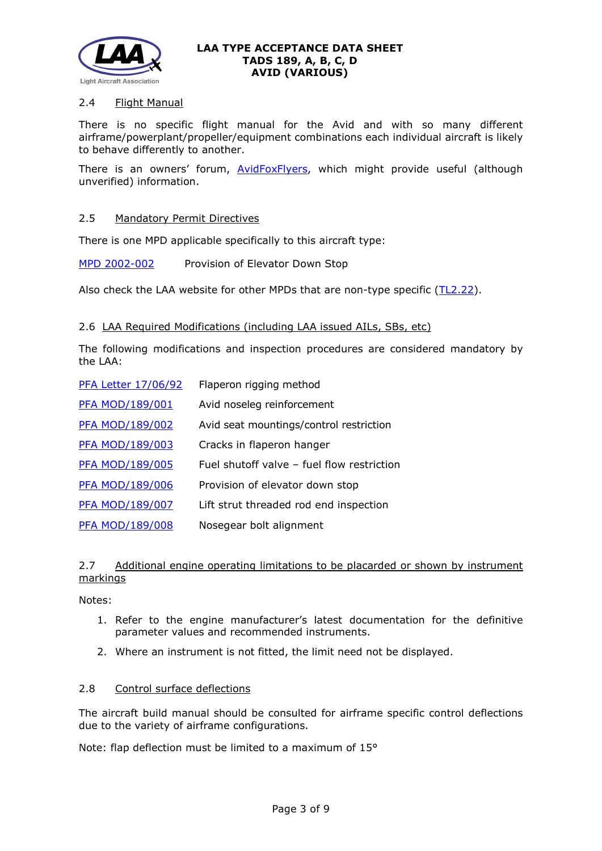

## 2.4 Flight Manual

There is no specific flight manual for the Avid and with so many different airframe/powerplant/propeller/equipment combinations each individual aircraft is likely to behave differently to another.

There is an owners' forum, **AvidFoxFlyers**, which might provide useful (although unverified) information.

### 2.5 Mandatory Permit Directives

There is one MPD applicable specifically to this aircraft type:

[MPD 2002-002](http://www.lightaircraftassociation.co.uk/engineering/TADs/189/MPD2002-002.pdf) Provision of Elevator Down Stop

Also check the LAA website for other MPDs that are non-type specific [\(TL2.22\)](http://www.lightaircraftassociation.co.uk/engineering/TechnicalLeaflets/Operating%20An%20Aircraft/TL%202.22%20non-type%20specific%20MPDs.pdf).

#### 2.6 LAA Required Modifications (including LAA issued AILs, SBs, etc)

The following modifications and inspection procedures are considered mandatory by the LAA:

| <b>PFA Letter 17/06/92</b> | Flaperon rigging method                    |
|----------------------------|--------------------------------------------|
| <b>PFA MOD/189/001</b>     | Avid noseleg reinforcement                 |
| <b>PFA MOD/189/002</b>     | Avid seat mountings/control restriction    |
| PFA MOD/189/003            | Cracks in flaperon hanger                  |
| <b>PFA MOD/189/005</b>     | Fuel shutoff valve - fuel flow restriction |
| PFA MOD/189/006            | Provision of elevator down stop            |
| <b>PFA MOD/189/007</b>     | Lift strut threaded rod end inspection     |
| <b>PFA MOD/189/008</b>     | Nosegear bolt alignment                    |

## 2.7 Additional engine operating limitations to be placarded or shown by instrument markings

Notes:

- 1. Refer to the engine manufacturer's latest documentation for the definitive parameter values and recommended instruments.
- 2. Where an instrument is not fitted, the limit need not be displayed.

### 2.8 Control surface deflections

The aircraft build manual should be consulted for airframe specific control deflections due to the variety of airframe configurations.

Note: flap deflection must be limited to a maximum of 15°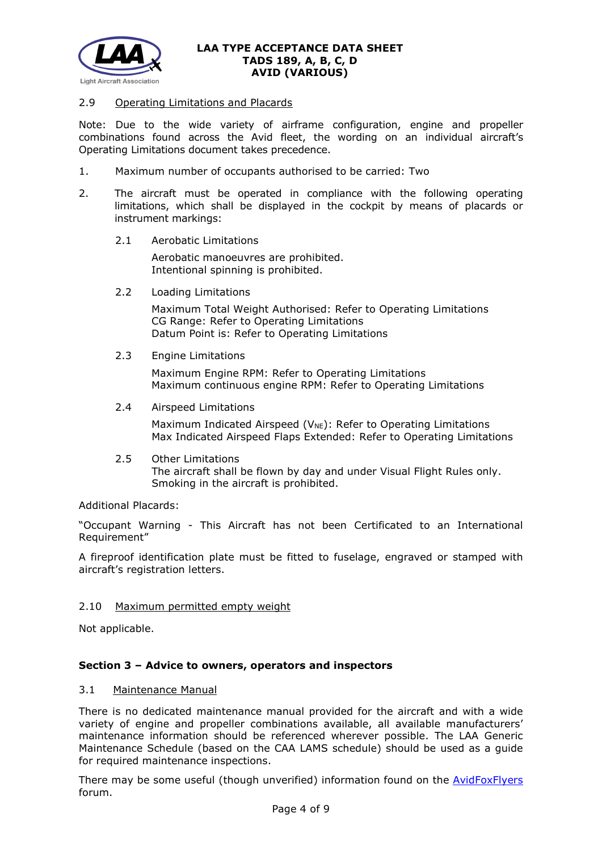

### 2.9 Operating Limitations and Placards

Note: Due to the wide variety of airframe configuration, engine and propeller combinations found across the Avid fleet, the wording on an individual aircraft's Operating Limitations document takes precedence.

- 1. Maximum number of occupants authorised to be carried: Two
- 2. The aircraft must be operated in compliance with the following operating limitations, which shall be displayed in the cockpit by means of placards or instrument markings:
	- 2.1 Aerobatic Limitations

Aerobatic manoeuvres are prohibited. Intentional spinning is prohibited.

2.2 Loading Limitations

Maximum Total Weight Authorised: Refer to Operating Limitations CG Range: Refer to Operating Limitations Datum Point is: Refer to Operating Limitations

2.3 Engine Limitations

Maximum Engine RPM: Refer to Operating Limitations Maximum continuous engine RPM: Refer to Operating Limitations

2.4 Airspeed Limitations

Maximum Indicated Airspeed ( $V_{NE}$ ): Refer to Operating Limitations Max Indicated Airspeed Flaps Extended: Refer to Operating Limitations

2.5 Other Limitations The aircraft shall be flown by day and under Visual Flight Rules only. Smoking in the aircraft is prohibited.

Additional Placards:

"Occupant Warning - This Aircraft has not been Certificated to an International Requirement"

A fireproof identification plate must be fitted to fuselage, engraved or stamped with aircraft's registration letters.

### 2.10 Maximum permitted empty weight

Not applicable.

### **Section 3 – Advice to owners, operators and inspectors**

#### 3.1 Maintenance Manual

There is no dedicated maintenance manual provided for the aircraft and with a wide variety of engine and propeller combinations available, all available manufacturers' maintenance information should be referenced wherever possible. The LAA Generic Maintenance Schedule (based on the CAA LAMS schedule) should be used as a guide for required maintenance inspections.

There may be some useful (though unverified) information found on the [AvidFoxFlyers](http://www.avidfoxflyers.com/) forum.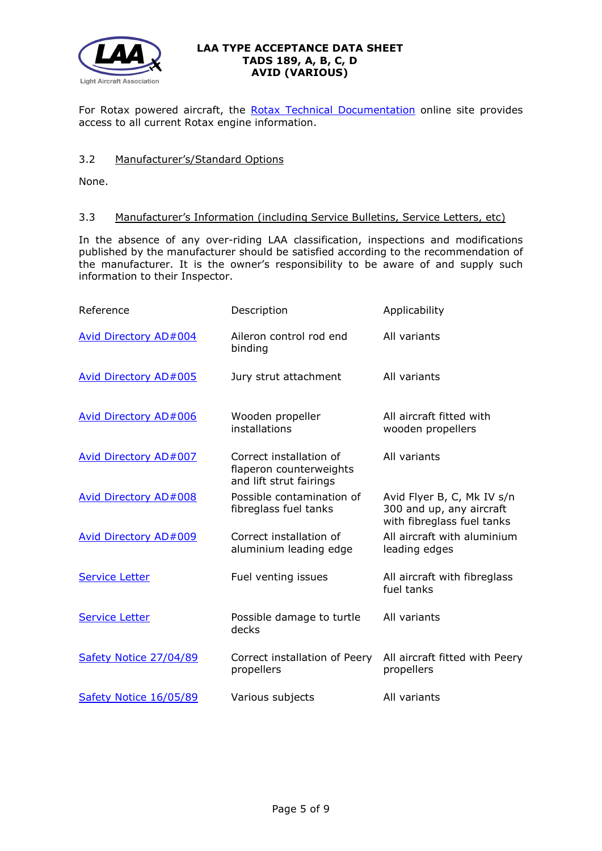

For Rotax powered aircraft, the [Rotax Technical Documentation](http://www.flyrotax.com/services/technical-documentation.html) online site provides access to all current Rotax engine information.

## 3.2 Manufacturer's/Standard Options

None.

## 3.3 Manufacturer's Information (including Service Bulletins, Service Letters, etc)

In the absence of any over-riding LAA classification, inspections and modifications published by the manufacturer should be satisfied according to the recommendation of the manufacturer. It is the owner's responsibility to be aware of and supply such information to their Inspector.

| Reference                    | Description                                                                   | Applicability                                                                        |
|------------------------------|-------------------------------------------------------------------------------|--------------------------------------------------------------------------------------|
| <b>Avid Directory AD#004</b> | Aileron control rod end<br>binding                                            | All variants                                                                         |
| Avid Directory AD#005        | Jury strut attachment                                                         | All variants                                                                         |
| Avid Directory AD#006        | Wooden propeller<br>installations                                             | All aircraft fitted with<br>wooden propellers                                        |
| Avid Directory AD#007        | Correct installation of<br>flaperon counterweights<br>and lift strut fairings | All variants                                                                         |
| Avid Directory AD#008        | Possible contamination of<br>fibreglass fuel tanks                            | Avid Flyer B, C, Mk IV s/n<br>300 and up, any aircraft<br>with fibreglass fuel tanks |
| Avid Directory AD#009        | Correct installation of<br>aluminium leading edge                             | All aircraft with aluminium<br>leading edges                                         |
| <b>Service Letter</b>        | Fuel venting issues                                                           | All aircraft with fibreglass<br>fuel tanks                                           |
| <b>Service Letter</b>        | Possible damage to turtle<br>decks                                            | All variants                                                                         |
| Safety Notice 27/04/89       | Correct installation of Peery<br>propellers                                   | All aircraft fitted with Peery<br>propellers                                         |
| Safety Notice 16/05/89       | Various subjects                                                              | All variants                                                                         |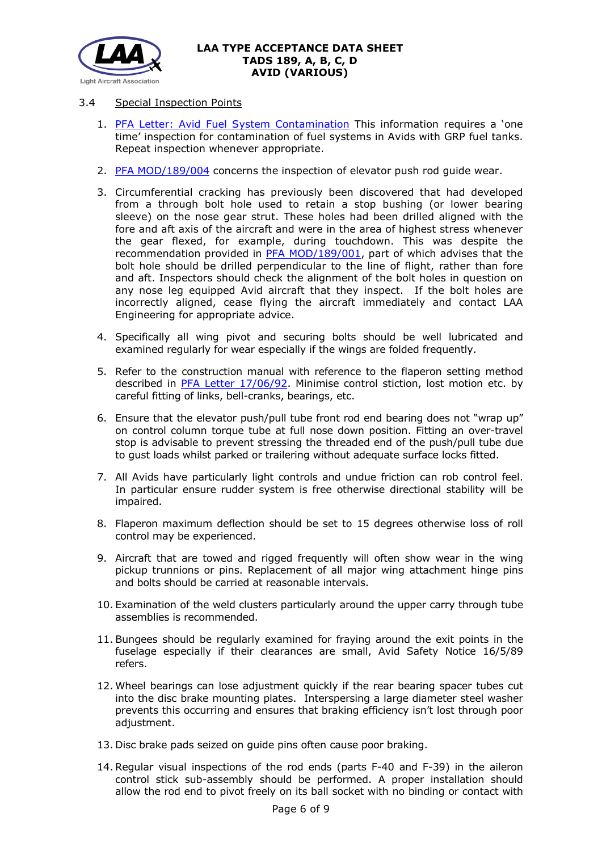

# 3.4 Special Inspection Points

- 1. [PFA Letter: Avid Fuel System Contamination](http://www.lightaircraftassociation.co.uk/engineering/TADs/189/PFA%20Letter%20Avid%20Fuel%20System%20Contam%20160892.pdf) This information requires a 'one time' inspection for contamination of fuel systems in Avids with GRP fuel tanks. Repeat inspection whenever appropriate.
- 2. [PFA MOD/189/004](http://www.lightaircraftassociation.co.uk/engineering/TADs/189/PFA%20MOD%20189%20004%20Elevator%20Push%20Rod%20Wear%20030807.pdf) concerns the inspection of elevator push rod guide wear.
- 3. Circumferential cracking has previously been discovered that had developed from a through bolt hole used to retain a stop bushing (or lower bearing sleeve) on the nose gear strut. These holes had been drilled aligned with the fore and aft axis of the aircraft and were in the area of highest stress whenever the gear flexed, for example, during touchdown. This was despite the recommendation provided in [PFA MOD/189/001,](http://www.lightaircraftassociation.co.uk/engineering/TADs/189/PFA%20MOD%20189%20001%20NLG%20121293.pdf) part of which advises that the bolt hole should be drilled perpendicular to the line of flight, rather than fore and aft. Inspectors should check the alignment of the bolt holes in question on any nose leg equipped Avid aircraft that they inspect. If the bolt holes are incorrectly aligned, cease flying the aircraft immediately and contact LAA Engineering for appropriate advice.
- 4. Specifically all wing pivot and securing bolts should be well lubricated and examined regularly for wear especially if the wings are folded frequently.
- 5. Refer to the construction manual with reference to the flaperon setting method described in [PFA Letter 17/06/92.](http://www.lightaircraftassociation.co.uk/engineering/TADs/189/PFA%20Letter%20Avid%20Flaperon%20Rigging%20170692%20.pdf) Minimise control stiction, lost motion etc. by careful fitting of links, bell-cranks, bearings, etc.
- 6. Ensure that the elevator push/pull tube front rod end bearing does not "wrap up" on control column torque tube at full nose down position. Fitting an over-travel stop is advisable to prevent stressing the threaded end of the push/pull tube due to gust loads whilst parked or trailering without adequate surface locks fitted.
- 7. All Avids have particularly light controls and undue friction can rob control feel. In particular ensure rudder system is free otherwise directional stability will be impaired.
- 8. Flaperon maximum deflection should be set to 15 degrees otherwise loss of roll control may be experienced.
- 9. Aircraft that are towed and rigged frequently will often show wear in the wing pickup trunnions or pins. Replacement of all major wing attachment hinge pins and bolts should be carried at reasonable intervals.
- 10. Examination of the weld clusters particularly around the upper carry through tube assemblies is recommended.
- 11. Bungees should be regularly examined for fraying around the exit points in the fuselage especially if their clearances are small, Avid Safety Notice 16/5/89 refers.
- 12. Wheel bearings can lose adjustment quickly if the rear bearing spacer tubes cut into the disc brake mounting plates. Interspersing a large diameter steel washer prevents this occurring and ensures that braking efficiency isn't lost through poor adjustment.
- 13. Disc brake pads seized on guide pins often cause poor braking.
- 14. Regular visual inspections of the rod ends (parts F-40 and F-39) in the aileron control stick sub-assembly should be performed. A proper installation should allow the rod end to pivot freely on its ball socket with no binding or contact with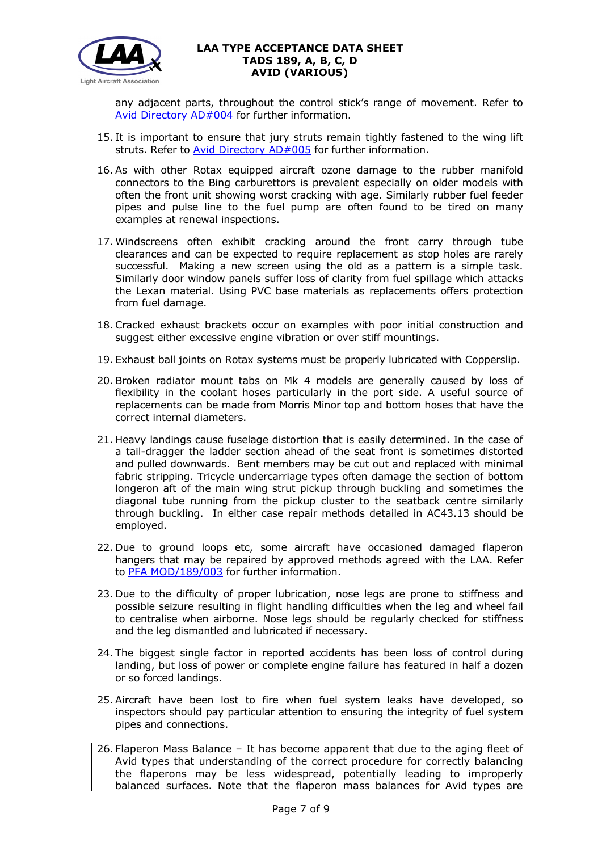

any adjacent parts, throughout the control stick's range of movement. Refer to [Avid Directory AD#004](http://www.lightaircraftassociation.co.uk/engineering/TADs/189/Avid%20Directory%20AD004%20Aileron%20Control.pdf) for further information.

- 15. It is important to ensure that jury struts remain tightly fastened to the wing lift struts. Refer to [Avid Directory AD#005](http://www.lightaircraftassociation.co.uk/engineering/TADs/189/Avid%20Directory%20AD005%20Jury%20Struts.pdf) for further information.
- 16. As with other Rotax equipped aircraft ozone damage to the rubber manifold connectors to the Bing carburettors is prevalent especially on older models with often the front unit showing worst cracking with age. Similarly rubber fuel feeder pipes and pulse line to the fuel pump are often found to be tired on many examples at renewal inspections.
- 17. Windscreens often exhibit cracking around the front carry through tube clearances and can be expected to require replacement as stop holes are rarely successful. Making a new screen using the old as a pattern is a simple task. Similarly door window panels suffer loss of clarity from fuel spillage which attacks the Lexan material. Using PVC base materials as replacements offers protection from fuel damage.
- 18. Cracked exhaust brackets occur on examples with poor initial construction and suggest either excessive engine vibration or over stiff mountings.
- 19. Exhaust ball joints on Rotax systems must be properly lubricated with Copperslip.
- 20. Broken radiator mount tabs on Mk 4 models are generally caused by loss of flexibility in the coolant hoses particularly in the port side. A useful source of replacements can be made from Morris Minor top and bottom hoses that have the correct internal diameters.
- 21. Heavy landings cause fuselage distortion that is easily determined. In the case of a tail-dragger the ladder section ahead of the seat front is sometimes distorted and pulled downwards. Bent members may be cut out and replaced with minimal fabric stripping. Tricycle undercarriage types often damage the section of bottom longeron aft of the main wing strut pickup through buckling and sometimes the diagonal tube running from the pickup cluster to the seatback centre similarly through buckling. In either case repair methods detailed in AC43.13 should be employed.
- 22. Due to ground loops etc, some aircraft have occasioned damaged flaperon hangers that may be repaired by approved methods agreed with the LAA. Refer to [PFA MOD/189/003](http://www.lightaircraftassociation.co.uk/engineering/TADs/189/PFA%20MOD%20189%20003%20Flaperon%20Hanger%20030807.pdf) for further information.
- 23. Due to the difficulty of proper lubrication, nose legs are prone to stiffness and possible seizure resulting in flight handling difficulties when the leg and wheel fail to centralise when airborne. Nose legs should be regularly checked for stiffness and the leg dismantled and lubricated if necessary.
- 24. The biggest single factor in reported accidents has been loss of control during landing, but loss of power or complete engine failure has featured in half a dozen or so forced landings.
- 25. Aircraft have been lost to fire when fuel system leaks have developed, so inspectors should pay particular attention to ensuring the integrity of fuel system pipes and connections.
- 26. Flaperon Mass Balance It has become apparent that due to the aging fleet of Avid types that understanding of the correct procedure for correctly balancing the flaperons may be less widespread, potentially leading to improperly balanced surfaces. Note that the flaperon mass balances for Avid types are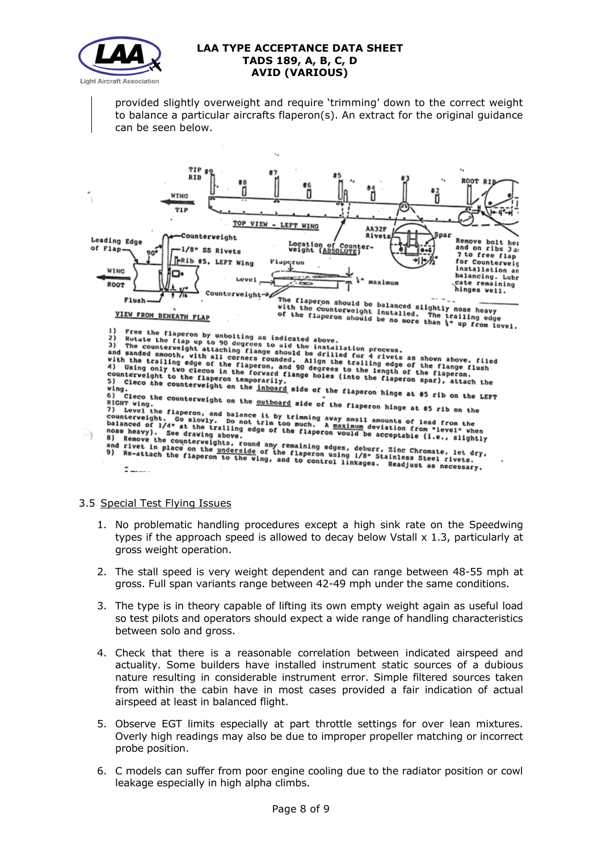

provided slightly overweight and require 'trimming' down to the correct weight to balance a particular aircrafts flaperon(s). An extract for the original guidance can be seen below.



3.5 Special Test Flying Issues

- 1. No problematic handling procedures except a high sink rate on the Speedwing types if the approach speed is allowed to decay below Vstall  $\times$  1.3, particularly at gross weight operation.
- 2. The stall speed is very weight dependent and can range between 48-55 mph at gross. Full span variants range between 42-49 mph under the same conditions.
- 3. The type is in theory capable of lifting its own empty weight again as useful load so test pilots and operators should expect a wide range of handling characteristics between solo and gross.
- 4. Check that there is a reasonable correlation between indicated airspeed and actuality. Some builders have installed instrument static sources of a dubious nature resulting in considerable instrument error. Simple filtered sources taken from within the cabin have in most cases provided a fair indication of actual airspeed at least in balanced flight.
- 5. Observe EGT limits especially at part throttle settings for over lean mixtures. Overly high readings may also be due to improper propeller matching or incorrect probe position.
- 6. C models can suffer from poor engine cooling due to the radiator position or cowl leakage especially in high alpha climbs.